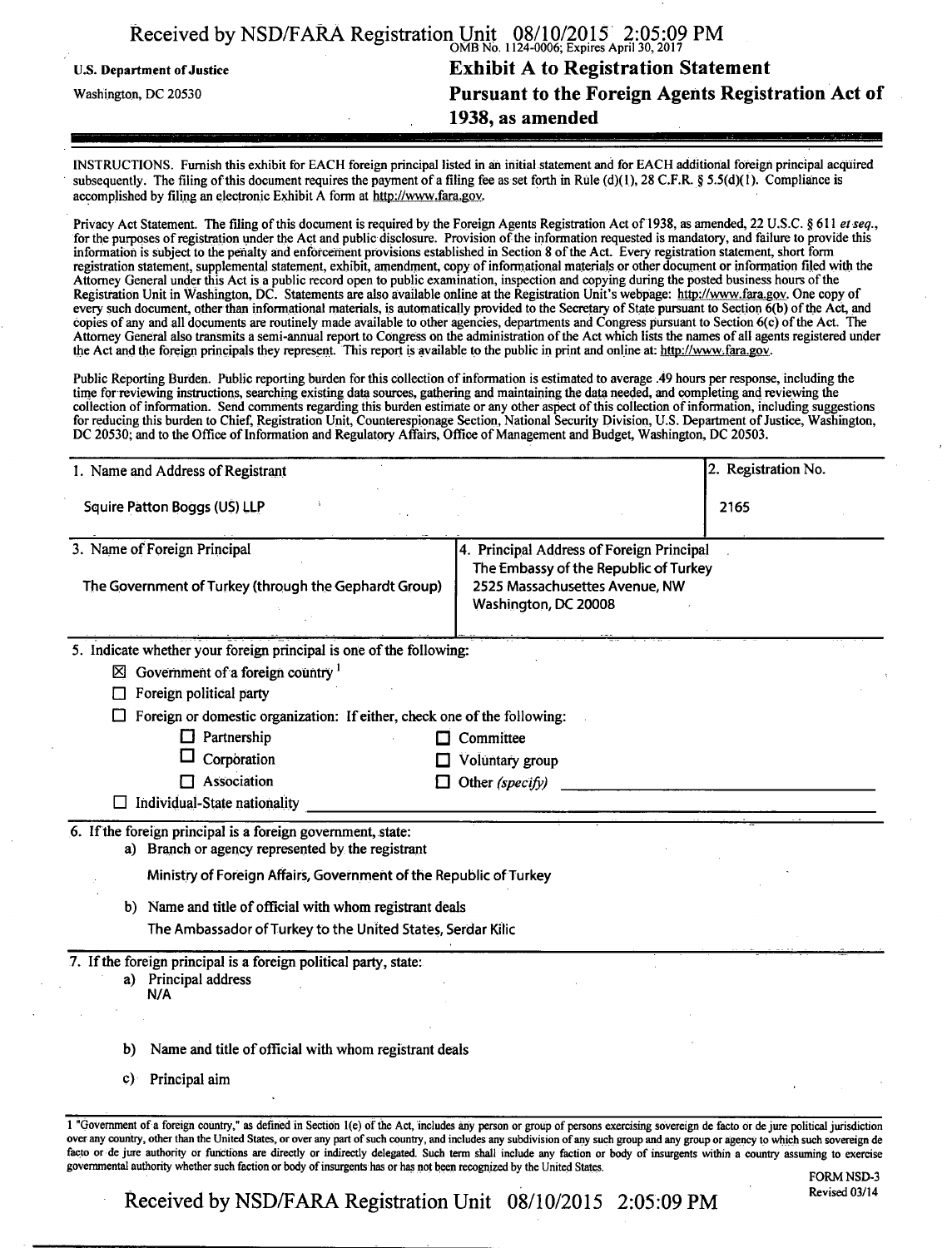| Received by NSD/FARA Registration Unit 08/10/2015 2:05:09 PM |                                                    |  |  |  |
|--------------------------------------------------------------|----------------------------------------------------|--|--|--|
| <b>U.S. Department of Justice</b>                            | <b>Exhibit A to Registration Statement</b>         |  |  |  |
| Washington, DC 20530                                         | Pursuant to the Foreign Agents Registration Act of |  |  |  |
|                                                              | 1938, as amended                                   |  |  |  |

INSTRUCTIONS. Furnish this exhibit for EACH foreign principal listed in an initial statement and for EACH additional foreign principal acquired subsequently. The filing of this document requires the payment of a filing fee as set forth in Rule (d)(1), 28 C.F.R. § 5.5(d)(1). Compliance is accomplished by filing an electronic Exhibit A form at http://www.fara.gov.

Privacy Act Statement. The filing of this document is required by the Foreign Agents Registration Act of 1938, as amended, 22 U.S.C. § 611 et seq., for the purposes of registration under the Act and public disclosure. Provision of the information requested is mandatory, and failure to provide this information is subject to the penalty and enforcement provisions established in Section 8 of the Act. Every registration statement, short form registration statement, supplemental statement, exhibit, amendment, copy of informational materials or other document or information filed with the Attorney General under this Act is a public record open to public examination, inspection and copying during the posted business hours of the Registration Unit in Washington, DC. Statements are also available online at the Registration Unit's webpage: http://www.fara.gov. One copy of every such document, other than informational materials, is automatically provided to the Secretary of State pursuant to Section  $\vec{\theta}$  of the Act, and copies of any and all documents are routinely made available to other agencies, departments and Congress pursuant to Section 6(c) of the Act. The Attorney General also transmits a semi-annual report to Congress on the administration of the Act which lists the names of all agents registered under the Act and the foreign principals they represent. This report is available to the public in print and online at: http://www.fara.gov.

Public Reporting Burden. Public reporting burden for this collection of information is estimated to average .49 hours per response, including the time for reviewing instructions, searching existing data sources, gathering and maintaining the data needed, and completing and reviewing the collection of information. Send comments regarding this burden estimate or any other aspect of this collection of information, including suggestions for reducing this burden to Chief, Registration Unit, Counterespionage Section, National Security Division, U.S. Department of Justice, Washington, DC 20530; and to the Office of Information and Regulatory Affairs, Office of Management and Budget, Washington, DC 20503.

| 1. Name and Address of Registrant                                                                                |                                                                                                 | 2. Registration No. |  |  |
|------------------------------------------------------------------------------------------------------------------|-------------------------------------------------------------------------------------------------|---------------------|--|--|
| Squire Patton Boggs (US) LLP                                                                                     |                                                                                                 | 2165                |  |  |
| 3. Name of Foreign Principal                                                                                     | 4. Principal Address of Foreign Principal                                                       |                     |  |  |
| The Government of Turkey (through the Gephardt Group)                                                            | The Embassy of the Republic of Turkey<br>2525 Massachusettes Avenue, NW<br>Washington, DC 20008 |                     |  |  |
| 5. Indicate whether your foreign principal is one of the following:                                              |                                                                                                 |                     |  |  |
| $\boxtimes$ Government of a foreign country $\frac{1}{1}$                                                        |                                                                                                 |                     |  |  |
| Foreign political party                                                                                          |                                                                                                 |                     |  |  |
| Foreign or domestic organization: If either, check one of the following:                                         |                                                                                                 |                     |  |  |
| $\Box$ Partnership                                                                                               | $\Box$ Committee                                                                                |                     |  |  |
| Corporation                                                                                                      | $\Box$ Voluntary group                                                                          |                     |  |  |
| Association                                                                                                      | $\Box$ Other (specify)                                                                          |                     |  |  |
| $\Box$ Individual-State nationality                                                                              |                                                                                                 |                     |  |  |
| 6. If the foreign principal is a foreign government, state:<br>a) Branch or agency represented by the registrant |                                                                                                 |                     |  |  |
| Ministry of Foreign Affairs, Government of the Republic of Turkey                                                |                                                                                                 |                     |  |  |
| b) Name and title of official with whom registrant deals                                                         |                                                                                                 |                     |  |  |
| The Ambassador of Turkey to the United States, Serdar Kilic                                                      |                                                                                                 |                     |  |  |
| 7. If the foreign principal is a foreign political party, state:                                                 |                                                                                                 |                     |  |  |
| a) Principal address<br>N/A                                                                                      |                                                                                                 |                     |  |  |
| Name and title of official with whom registrant deals<br>b)                                                      |                                                                                                 |                     |  |  |
| Principal aim<br>C)                                                                                              |                                                                                                 |                     |  |  |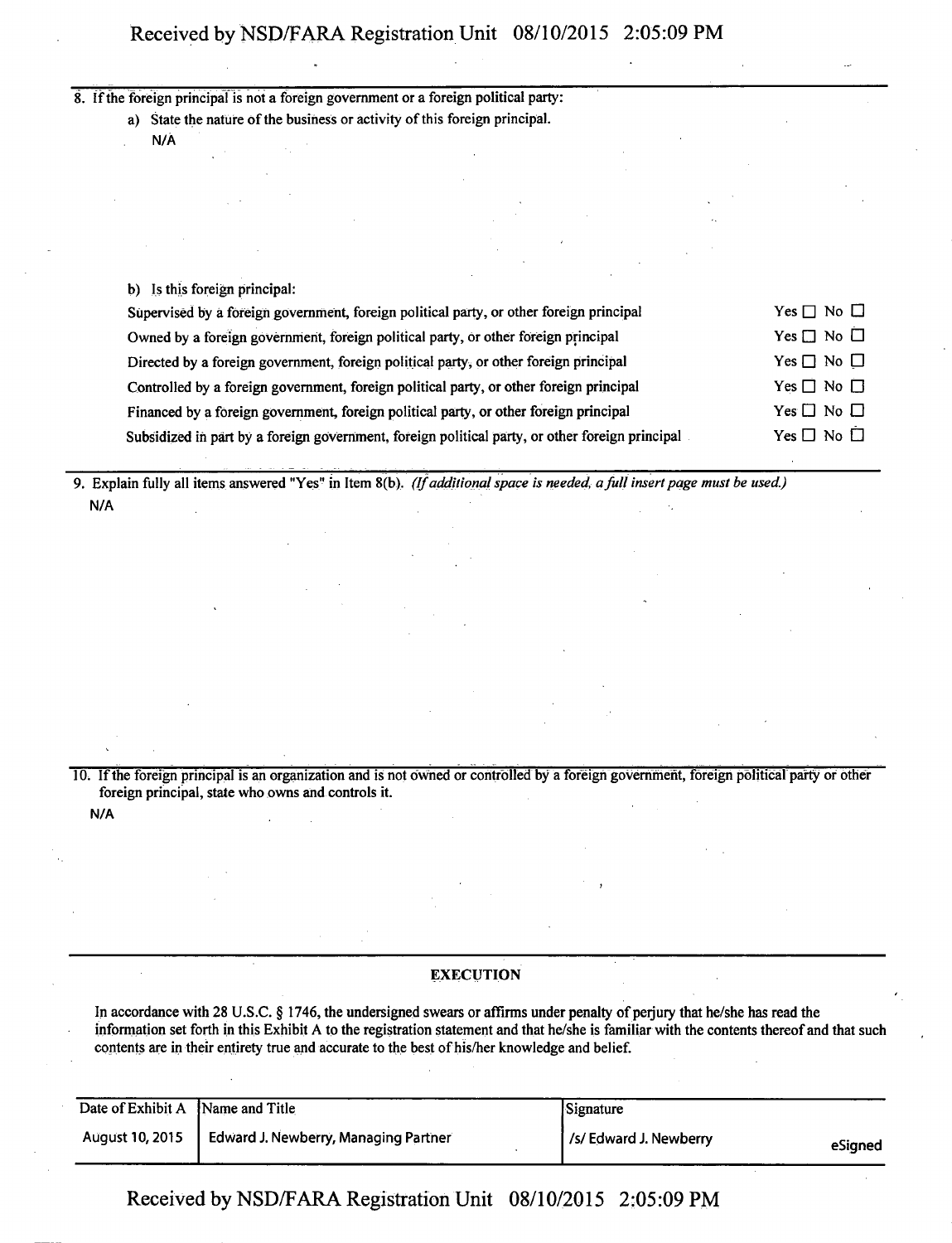## Received by NSD/FARA Registration Unit 08/10/2015 2:05:09 PM

|                                                                                                 |                            |                                                                                                                                                                                                                                                                                                                                                              | 8. If the foreign principal is not a foreign government or a foreign political party: |                                                                                                                                                                                                                                                                                                                                                                                                                                                        |  |  |
|-------------------------------------------------------------------------------------------------|----------------------------|--------------------------------------------------------------------------------------------------------------------------------------------------------------------------------------------------------------------------------------------------------------------------------------------------------------------------------------------------------------|---------------------------------------------------------------------------------------|--------------------------------------------------------------------------------------------------------------------------------------------------------------------------------------------------------------------------------------------------------------------------------------------------------------------------------------------------------------------------------------------------------------------------------------------------------|--|--|
|                                                                                                 |                            |                                                                                                                                                                                                                                                                                                                                                              | a) State the nature of the business or activity of this foreign principal.            |                                                                                                                                                                                                                                                                                                                                                                                                                                                        |  |  |
|                                                                                                 | N/A                        |                                                                                                                                                                                                                                                                                                                                                              |                                                                                       |                                                                                                                                                                                                                                                                                                                                                                                                                                                        |  |  |
|                                                                                                 |                            |                                                                                                                                                                                                                                                                                                                                                              |                                                                                       |                                                                                                                                                                                                                                                                                                                                                                                                                                                        |  |  |
|                                                                                                 |                            |                                                                                                                                                                                                                                                                                                                                                              |                                                                                       |                                                                                                                                                                                                                                                                                                                                                                                                                                                        |  |  |
|                                                                                                 |                            | $\label{eq:2.1} \frac{1}{2} \sum_{i=1}^n \frac{1}{2} \sum_{i=1}^n \frac{1}{2} \sum_{j=1}^n \frac{1}{2} \sum_{i=1}^n \frac{1}{2} \sum_{i=1}^n \frac{1}{2} \sum_{j=1}^n \frac{1}{2} \sum_{j=1}^n \frac{1}{2} \sum_{j=1}^n \frac{1}{2} \sum_{j=1}^n \frac{1}{2} \sum_{j=1}^n \frac{1}{2} \sum_{j=1}^n \frac{1}{2} \sum_{j=1}^n \frac{1}{2} \sum_{j=1}^n \frac{$ |                                                                                       | $\label{eq:2.1} \mathcal{L}(\mathcal{L}(\mathcal{L})) = \mathcal{L}(\mathcal{L}(\mathcal{L})) = \mathcal{L}(\mathcal{L}(\mathcal{L})) = \mathcal{L}(\mathcal{L}(\mathcal{L})) = \mathcal{L}(\mathcal{L}(\mathcal{L}))$                                                                                                                                                                                                                                 |  |  |
|                                                                                                 |                            |                                                                                                                                                                                                                                                                                                                                                              | the contract of the contract of the contract of the contract of the contract of       |                                                                                                                                                                                                                                                                                                                                                                                                                                                        |  |  |
|                                                                                                 |                            |                                                                                                                                                                                                                                                                                                                                                              |                                                                                       | $\label{eq:2.1} \frac{1}{\sqrt{2}}\left(\frac{1}{\sqrt{2}}\right)^{2} \left(\frac{1}{\sqrt{2}}\right)^{2} \left(\frac{1}{\sqrt{2}}\right)^{2} \left(\frac{1}{\sqrt{2}}\right)^{2} \left(\frac{1}{\sqrt{2}}\right)^{2} \left(\frac{1}{\sqrt{2}}\right)^{2} \left(\frac{1}{\sqrt{2}}\right)^{2} \left(\frac{1}{\sqrt{2}}\right)^{2} \left(\frac{1}{\sqrt{2}}\right)^{2} \left(\frac{1}{\sqrt{2}}\right)^{2} \left(\frac{1}{\sqrt{2}}\right)^{2} \left(\$ |  |  |
|                                                                                                 |                            |                                                                                                                                                                                                                                                                                                                                                              |                                                                                       |                                                                                                                                                                                                                                                                                                                                                                                                                                                        |  |  |
| b)                                                                                              | Is this foreign principal: |                                                                                                                                                                                                                                                                                                                                                              |                                                                                       |                                                                                                                                                                                                                                                                                                                                                                                                                                                        |  |  |
| Supervised by a foreign government, foreign political party, or other foreign principal         |                            |                                                                                                                                                                                                                                                                                                                                                              |                                                                                       | Yes $\Box$ No $\Box$                                                                                                                                                                                                                                                                                                                                                                                                                                   |  |  |
| Owned by a foreign government, foreign political party, or other foreign principal              |                            |                                                                                                                                                                                                                                                                                                                                                              | Yes $\Box$ No $\Box$                                                                  |                                                                                                                                                                                                                                                                                                                                                                                                                                                        |  |  |
| Directed by a foreign government, foreign political party, or other foreign principal           |                            |                                                                                                                                                                                                                                                                                                                                                              | Yes $\Box$ No $\Box$                                                                  |                                                                                                                                                                                                                                                                                                                                                                                                                                                        |  |  |
| Controlled by a foreign government, foreign political party, or other foreign principal         |                            |                                                                                                                                                                                                                                                                                                                                                              | $Yes \Box No \Box$                                                                    |                                                                                                                                                                                                                                                                                                                                                                                                                                                        |  |  |
| Financed by a foreign government, foreign political party, or other foreign principal           |                            |                                                                                                                                                                                                                                                                                                                                                              | Yes $\Box$ No $\Box$                                                                  |                                                                                                                                                                                                                                                                                                                                                                                                                                                        |  |  |
| Subsidized in part by a foreign government, foreign political party, or other foreign principal |                            |                                                                                                                                                                                                                                                                                                                                                              | Yes $\Box$ No $\Box$                                                                  |                                                                                                                                                                                                                                                                                                                                                                                                                                                        |  |  |
|                                                                                                 |                            |                                                                                                                                                                                                                                                                                                                                                              |                                                                                       |                                                                                                                                                                                                                                                                                                                                                                                                                                                        |  |  |

9. Explain fully all items answered "Yes" in Item 8(b). (If additional space is needed, a full insert page must be used.) N/A

10. If the foreign principal is an organization and is not owned or controlled by a foreign government, foreign political party or other foreign principal, state who owns and controls it. N/A

### **EXECUTION**

In accordance with 28 U.S.C. § 1746, the undersigned swears or affirms under penalty of perjury that he/she has read the information set forth in this Exhibit A to the registration statement and that he/she is familiar with the contents thereof and that such contents are in their entirety true and accurate to the best of his/her knowledge and belief.

| Date of Exhibit A Name and Title |                                             | Signature                        |
|----------------------------------|---------------------------------------------|----------------------------------|
| <b>August 10, 2015</b>           | <b>Edward J. Newberry, Managing Partner</b> | /s/Edward J. Newberry<br>eSianed |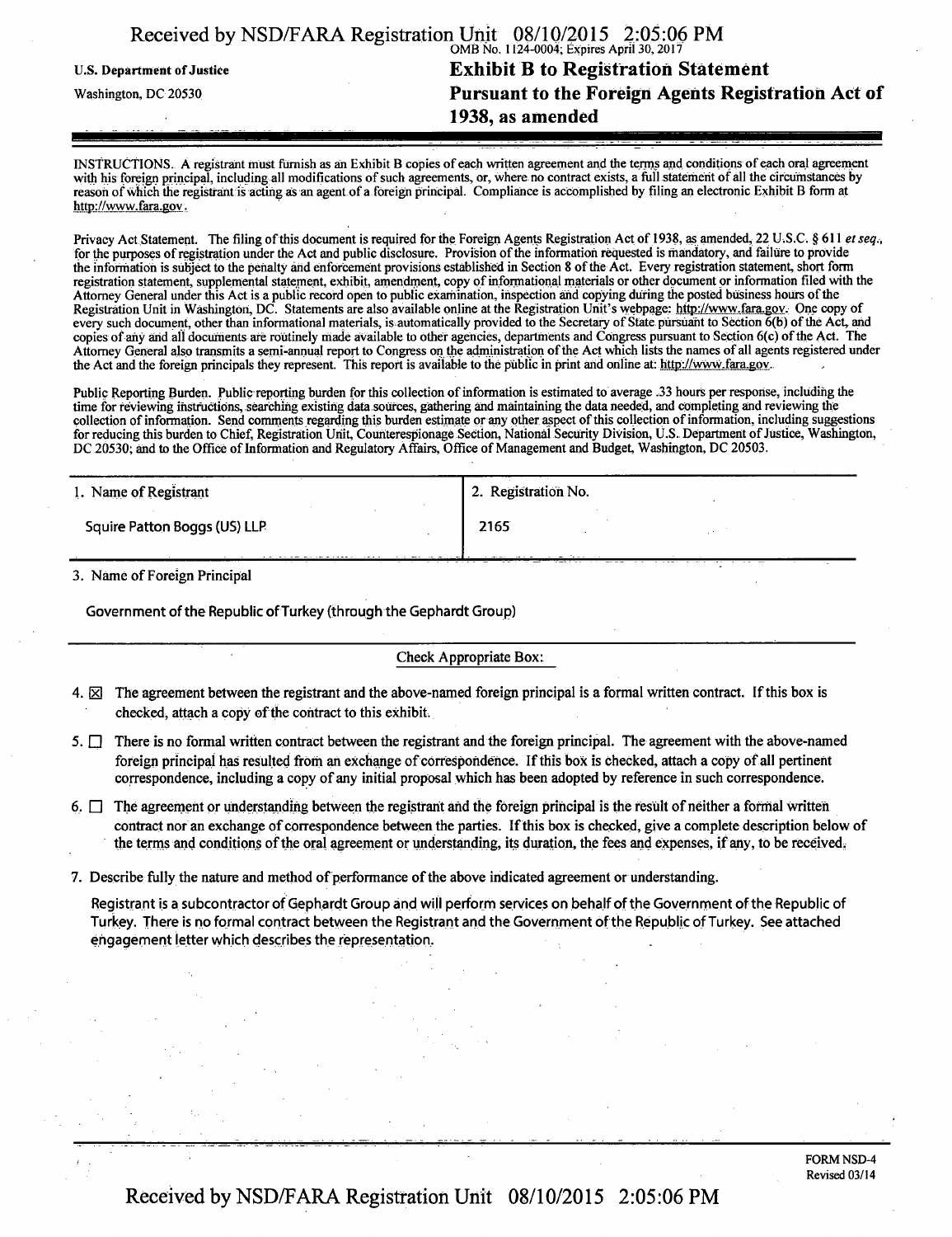| <b>Exhibit B to Registration Statement</b><br><b>U.S. Department of Justice</b><br>Pursuant to the Foreign Agents Registration Act of<br>Washington, DC 20530<br>1938, as amended | Received by NSD/FARA Registration Unit 08/10/2015 2:05:06 PM |
|-----------------------------------------------------------------------------------------------------------------------------------------------------------------------------------|--------------------------------------------------------------|
|                                                                                                                                                                                   |                                                              |
|                                                                                                                                                                                   |                                                              |
|                                                                                                                                                                                   |                                                              |

INSTRUCTIONS. A registrant must furnish as an Exhibit B copies of each written agreement and the terms and conditions of each oral agreement with his foreign principal, including all modifications of such agreements, or, where no contract exists, a full statement of all the circumstances by reason of which the registrant is acting as an agent of a foreign principal. Compliance is accomplished by filing an electronic Exhibit B form at http://www.fara.gov.

Privacy Act Statement. The filing of this document is required for the Foreign Agents Registration Act of 1938, as amended, 22 U.S.C. § 611 et seq., for the purposes of registration under the Act and public disclosure. Provision of the information requested is mandatory, and failure to provide the information is subject to the penalty and enforcement provisions established in Section 8 of the Act. Every registration statement, short form registration statement, supplemental statement, exhibit, amendment, copy of informational materials or other document or information filed with the Attorney General under this Act is a public record open to public examination, inspection and copying during the posted business hours of the Registration Unit in Washington, DC. Statements are also available online at the Registration Unit's webpage: http://www.fara.gov. One copy of every such document, other than informational materials, is automatically provided to the Secretary of State pursuant to Section  $\vec{6}$ (b) of the Act, and copies of any and all documents ate routinely made available to other agencies, departments and Congress pursuant to Section 6(c) of the Act. The Attorney General also transmits a semi-annual report to Congress on the administration of the Act which lists the names of all agents registered under the Act and the foreign principals they represent. This report is available to the public in print and online at: http://www.fara.gov.

Public Reporting Burden. Public reporting burden for this collection of information is estimated to average .33 hours per response, including the time for reviewing instructions, searching existing data sources, garnering and maintaining the data needed, and completing and reviewing the collection of information. Send comments regarding this burden estimate or any other aspect of this collection of information, including suggestions for reducing this burden to Chief, Registration Unit, Counterespionage Section, National Security Division, U.S. Department of Justice, Washington, DC 20530; and to the Office of Information and Regulatory Affairs, Office of Management and Budget, Washington, DC 20503.

| 1. Name of Registrant                                               | 2. Registration No. |
|---------------------------------------------------------------------|---------------------|
| Squire Patton Boggs (US) LLP                                        | 2165                |
| . <i>.</i><br>the company of the company of the<br>$-1$ $+$ $+$ $+$ |                     |

3. Name of Foreign Principal

Government of the Republic of Turkey (through the Gephardt Group)

#### Check Appropriate Box:

- 4.  $\boxtimes$  The agreement between the registrant and the above-named foreign principal is a formal written contract. If this box is checked, attach a copy of the contract to this exhibit.
- 5.  $\Box$  There is no formal written contract between the registrant and the foreign principal. The agreement with the above-named foreign principal has resulted from an exchange of correspondence. If this box is checked, attach a copy of all pertinent correspondence, including a copy of any initial proposal which has been adopted by reference in such correspondence.
- 6.  $\Box$  The agreement or understanding between the registrant and the foreign principal is the result of neither a formal written contract nor an exchange of correspondence between the parties. If this box is checked, give a complete description below of the terms and conditions of the oral agreement or understanding, its duration, the fees and expenses, if any, to be received,
- 7. Describe fully the nature and method of performance of the above indicated agreement or understanding.

Registrant is a subcontractor of Gephardt Group and will perform services on behalf of the Government of the Republic of Turkey. There is no formal contract between the Registrant and the Government of the Republic of Turkey. See attached engagement letter which describes the representation.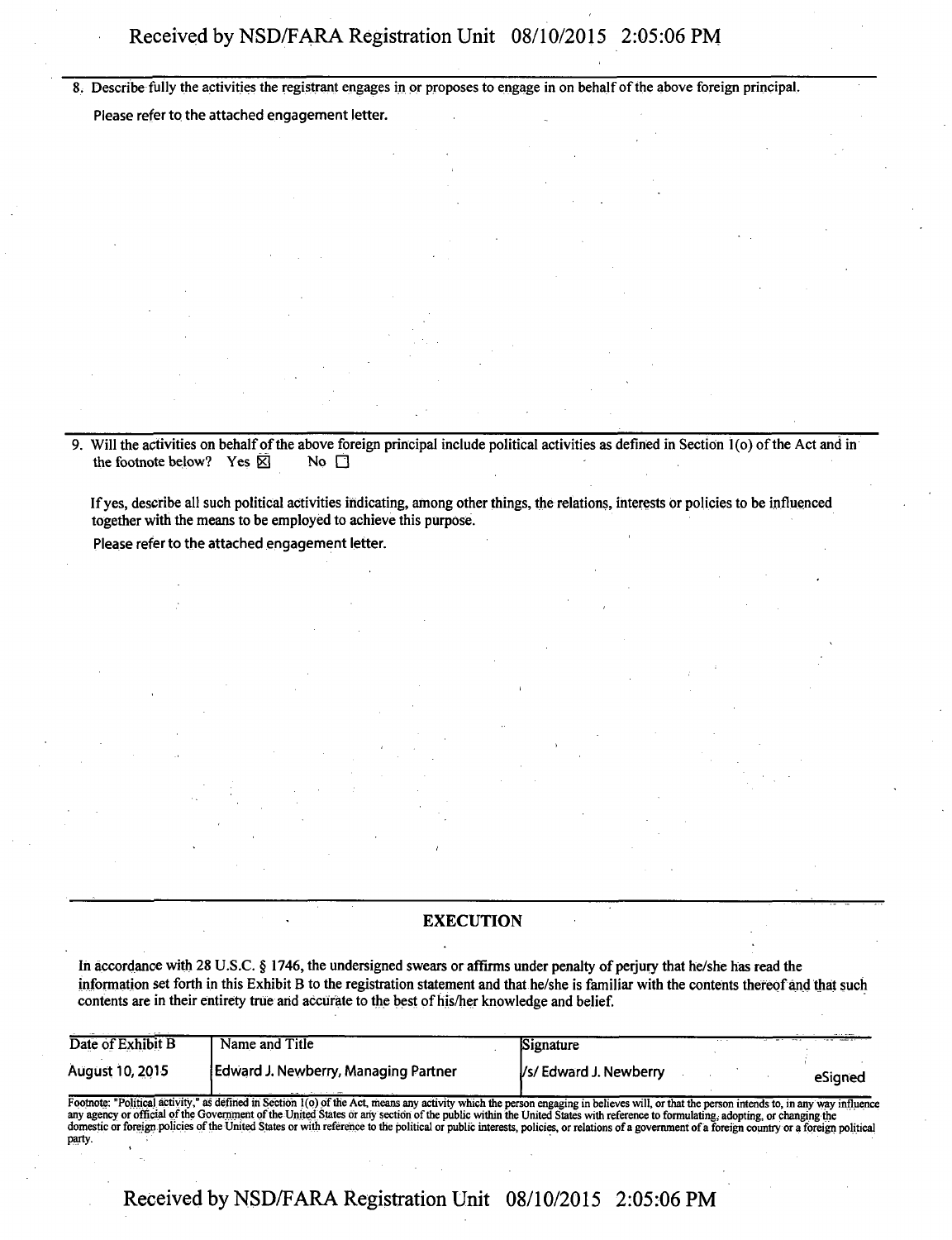# **Received by NSD/FARA Registration Unit 08/10/2015 2:05:06 PM**

8, Describe fully the activities the registrant engages in or proposes to engage in on behalf of the above foreign principal.

Please refer to the attached engagement letter.

9. Will the activities on behalf of the above foreign principal include political activities as defined in Section l(o) of the Act and in the footnote below? Yes  $\boxtimes$  No  $\Box$ 

If yes, describe all such political activities indicating, among other things, the relations, interests or policies to be influenced together with the means to be employed to achieve this purpose.

Please refer to the attached engagement letter.

#### **EXECUTION**

In accordance with 28 U.S.C. § 1746, the undersigned swears or affirms under penalty of perjury that he/she has read the information set forth in this Exhibit B to the registration statement and that he/she is familiar with the contents thereof and that such contents are in their entirety true arid accurate to the best of his/her knowledge and belief.

| Date of Exhibit B      | Name and Title                                                                                                                                                                            | Signature             |         |
|------------------------|-------------------------------------------------------------------------------------------------------------------------------------------------------------------------------------------|-----------------------|---------|
| <b>August 10, 2015</b> | Edward J. Newberry, Managing Partner                                                                                                                                                      | Vs/Edward J. Newberry | eSianed |
|                        | Footnote: "Political activity," as defined in Section 1(o) of the Act, means any activity which the person engaging in believes will, or that the person intends to, in any way influence |                       |         |

Footnote: "Political activity," as defined in Section 1(o) of the Act, means any activity which the person engaging in believes will, or that the person intends to, in any way influence any agency or official of the Govern domestic or foreign policies of the United States or with reference to the political or public interests, policies, or relations of a government of a foreign country or a foreign political party.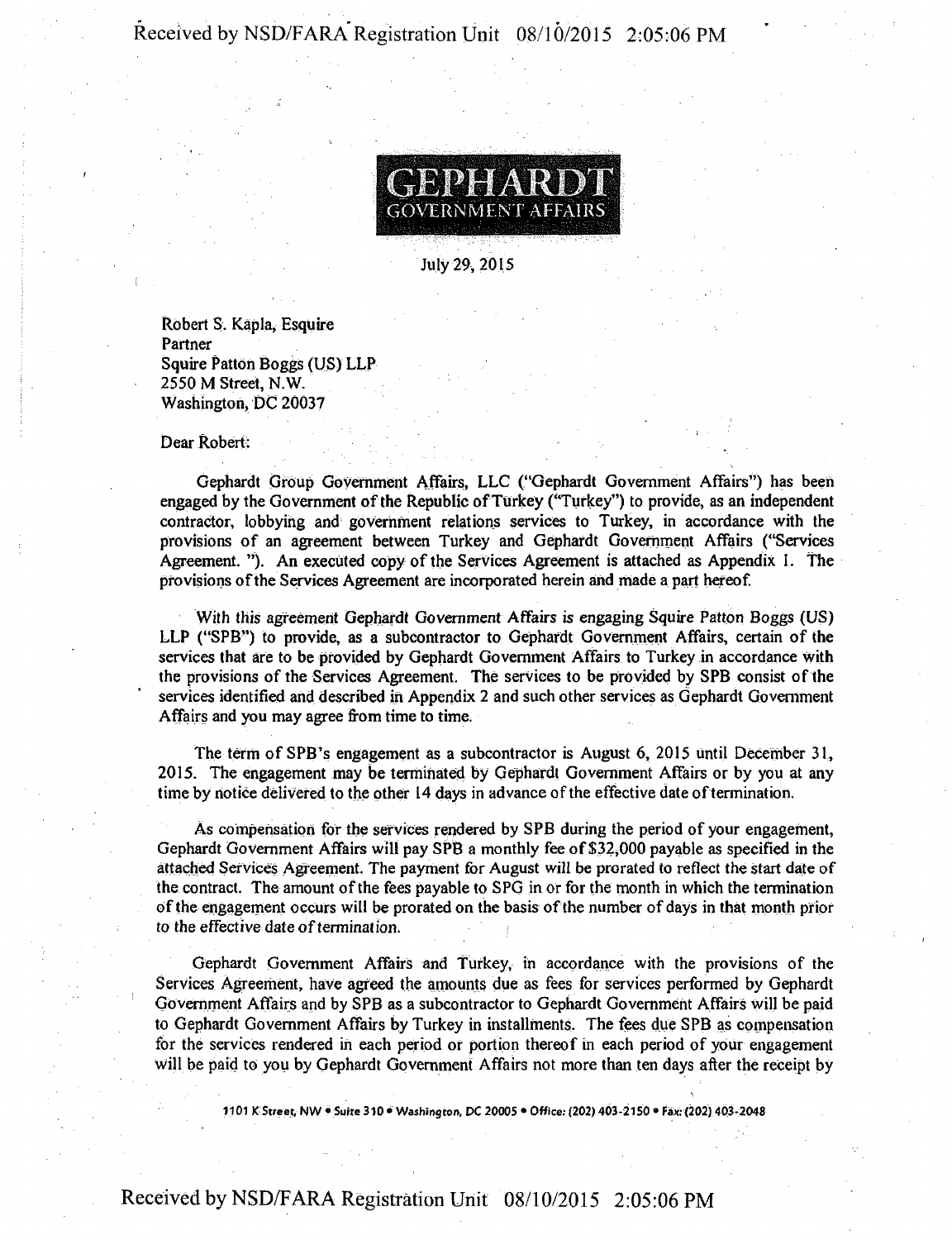# Received by NSD/FARA Registration Unit 08/16/2015 2:05:06 PM



July 29, 2015

Robert S. Kapla, Esquire Partner Squire Patton Boggs (US) LLP 2550 M Street, N.W. Washington, DC 20037

Dear Robert;

Gephardt Group Government Affairs, LLC ("Gephardt Government Affairs") has been engaged by the Government of the Republic of Turkey ("Turkey") to provide, as an independent contractor, lobbying and government relations services to Turkey, in accordance with the provisions of an agreement between Turkey and Gephardt Government Affairs ("Services Agreement. "). An executed copy of the Services Agreement is attached as Appendix 1. The provisions of the Services Agreement are incorporated herein and made a part hereof.

With this agreement Gephardt Government Affairs is engaging Squire Patton Boggs (US) LLP ("SPB") to provide, as a subcontractor to Gephardt Government Affairs, certain of the services that are to be provided by Gephardt Government Affairs to Turkey in accordance with the provisions of the Services Agreement. The services to be provided by SPB consist of the services identified and described in Appendix 2 and such other services as Gephardt Government Affairs and you may agree from time to time.

The term of SPB's engagement as a subcontractor is August 6, 2015 until December 31, 2015. The engagement may be terminated by Gephardt Government Affairs or by you at any time by notice delivered to the other 14 days in advance of the effective date of termination.

As compensation for the services rendered by SPB during the period of your engagement, Gephardt Government Affairs will pay SPB a monthly fee of \$32,000 payable as specified in the attached Services Agreement. The payment for August will be prorated to reflect the start date of the contract. The amount of the fees payable to SPG in or for the month in which the termination of the engagement occurs will be prorated on the basis of the number of days in that month prior to the effective date of termination.

Gephardt Government Affairs and Turkey, in accordance with the provisions of the Services Agreement, have agreed the amounts due as fees for services performed by Gephardt Government Affairs and by SPB as a subcontractor to Gephardt Government Affairs will be paid to Gephardt Government Affairs by Turkey in installments. The fees due SPB as compensation for the services rendered in each period of portion thereof in each period of your engagement will be paid to you by Gephardt Government Affairs not more than ten days after the receipt by

1101 K Street, NW " Suite 310 • Washington, DC 20005 • Office: (202) 403-2150 • Fax: (202) 403-2048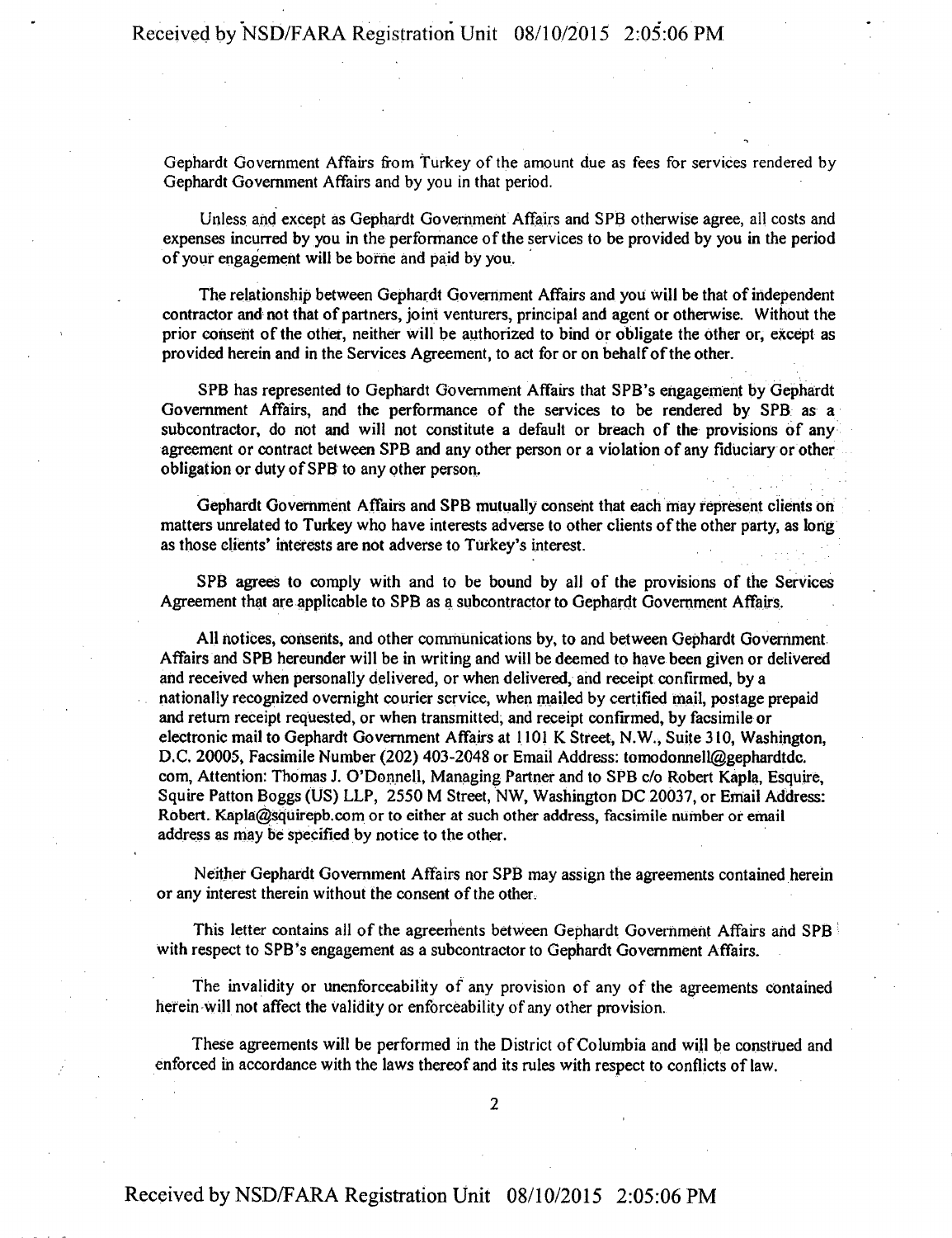Gephardt Government Affairs from Turkey of the amount due as fees for services rendered by Gephardt Government Affairs and by you in that period.

Unless and except as Gephardt Government Affairs and SPB otherwise agree, all costs and expenses incurred by you in the performance of the services to be provided by you in the period of your engagement will be borne and paid by you.

The relationship between Gephardt Government Affairs and you will be that of independent contractor and not that of partners, joint venturers, principal and agent or otherwise. Without the prior consent of the other, neither will be authorized to bind or obligate the other or, except as provided herein and in the Services Agreement, to act for or on behalf of the other.

SPB has represented to Gephardt Government Affairs that SPB's engagement by Gephardt Government Affairs, and the performance of the services to be rendered by SPB as a subcontractor, do not and will not constitute a default or breach of the provisions of any agreement or contract between SPB and any other person or a violation of any fiduciary or other obligation or duty of SPB to any other person.

Gephardt Government Affairs and SPB mutually consent that each may represent clients on matters unrelated to Turkey who have interests adverse to other clients of the other party, as long as those clients' interests are not adverse to Turkey's interest.

SPB agrees to comply with and to be bound by all of the provisions of the Services Agreement that are applicable to SPB as a subcontractor to Gephardt Government Affairs.

All notices, consents, and other communications by, to and between Gephardt Government Affairs and SPB hereunder will be in writing and will be deemed to have been given or delivered and received when personally delivered, or when delivered, and receipt confirmed, by a nationally recognized overnight courier service, when mailed by certified mail, postage prepaid and return receipt requested, or when transmitted, and receipt confirmed, by facsimile or electronic mail to Gephardt Government Affairs at 1101 K. Street, N.W.-, Suite 310, Washington, D.C. 20005, Facsimile Number (202) 403-2048 or Email Address: tomodonnell@gephardtdc. com, Attention: Thomas J. O'Donnell, Managing Partner and to SPB c/o Robert Kapla, Esquire, Squire Patton Boggs (US) LLP, 2550 M Street, NW, Washington DC 20037, or Email Address: Robert. Kapla@squirepb.com or to either at such other address, facsimile number or email address as may be specified by notice to the other.

Neither Gephardt Government Affairs nor SPB may assign the agreements contained herein or any interest therein without the consent of the other.

This letter contains all of the agreements between Gephardt Government Affairs and SPB ' with respect to SPB's engagement as a subcontractor to Gephardt Government Affairs.

The invalidity or unenforceability of any provision of any of the agreements contained herein will not affect the validity or enforceability of any other provision.

These agreements will be performed in the District of Columbia and will be construed and enforced in accordance with the laws thereof and its rules with respect to conflicts of law.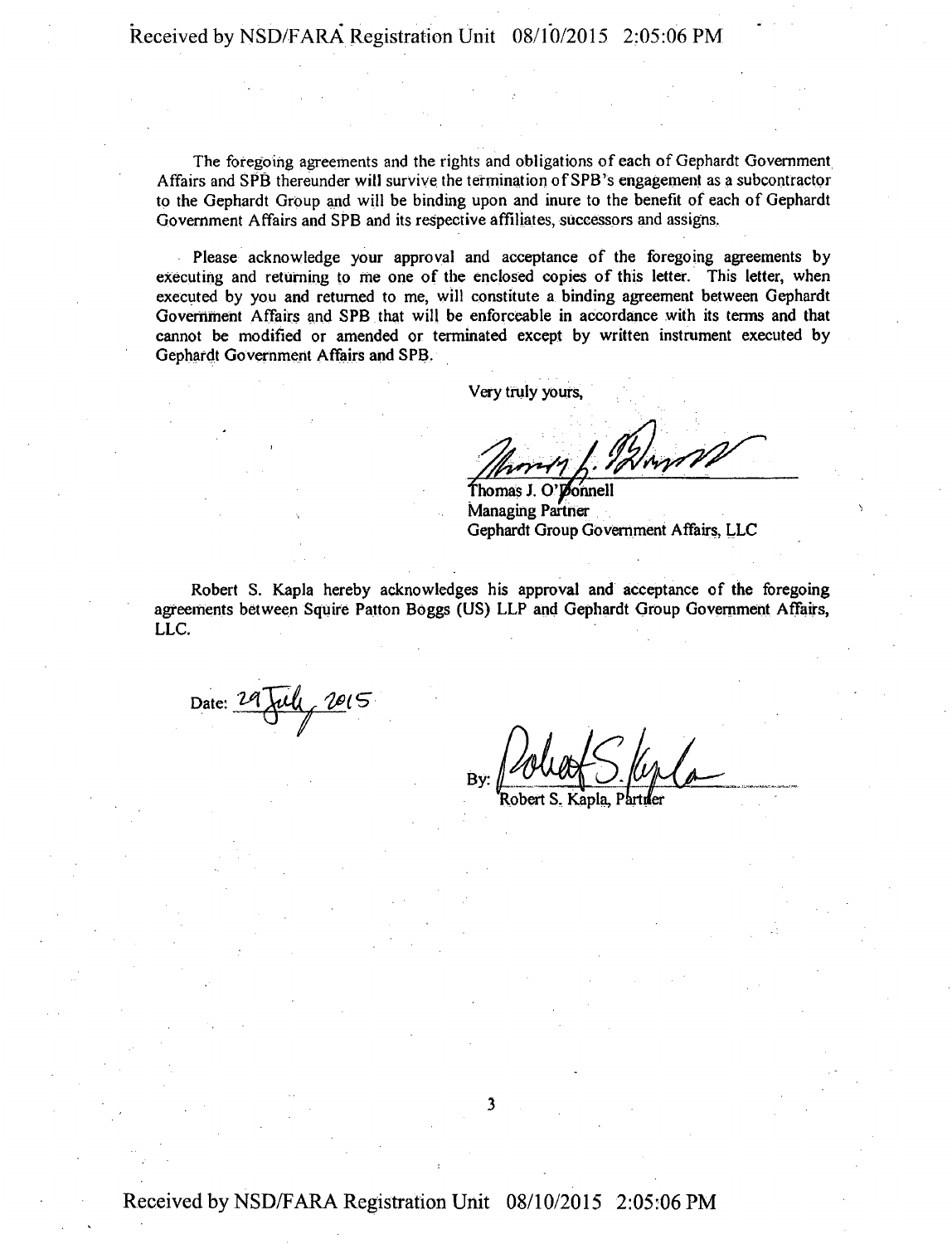The foregoing agreements and the rights and obligations of each of Gephardt Government Affairs and SPB thereunder will survive the termination of SPB's engagement as a subcontractor to the Gephardt Group and will be binding upon and inure to the benefit of each of Gephardt Government Affairs and SPB and its respective affiliates, successors and assigns.

Please acknowledge your approval and acceptance of the foregoing agreements by executing and returning to me one of the enclosed copies of this letter. This letter, when executed by you and returned to me, will constitute a binding agreement between Gephardt Government Affairs and SPB that will be enforceable in accordance with its terms and that cannot be modified or amended or terminated except by written instrument executed by Gephardt Government Affairs and SPB.

Very truly yours,

Thomas J. O'Donnell Managing Partner Gephardt Group Government Affairs, LLC

Robert S. Kapla hereby acknowledges his approval and acceptance of the foregoing agreements between Squire Patton Boggs (US) LLP and Gephardt Group Government Affairs, LLC.

Date:

Kapla,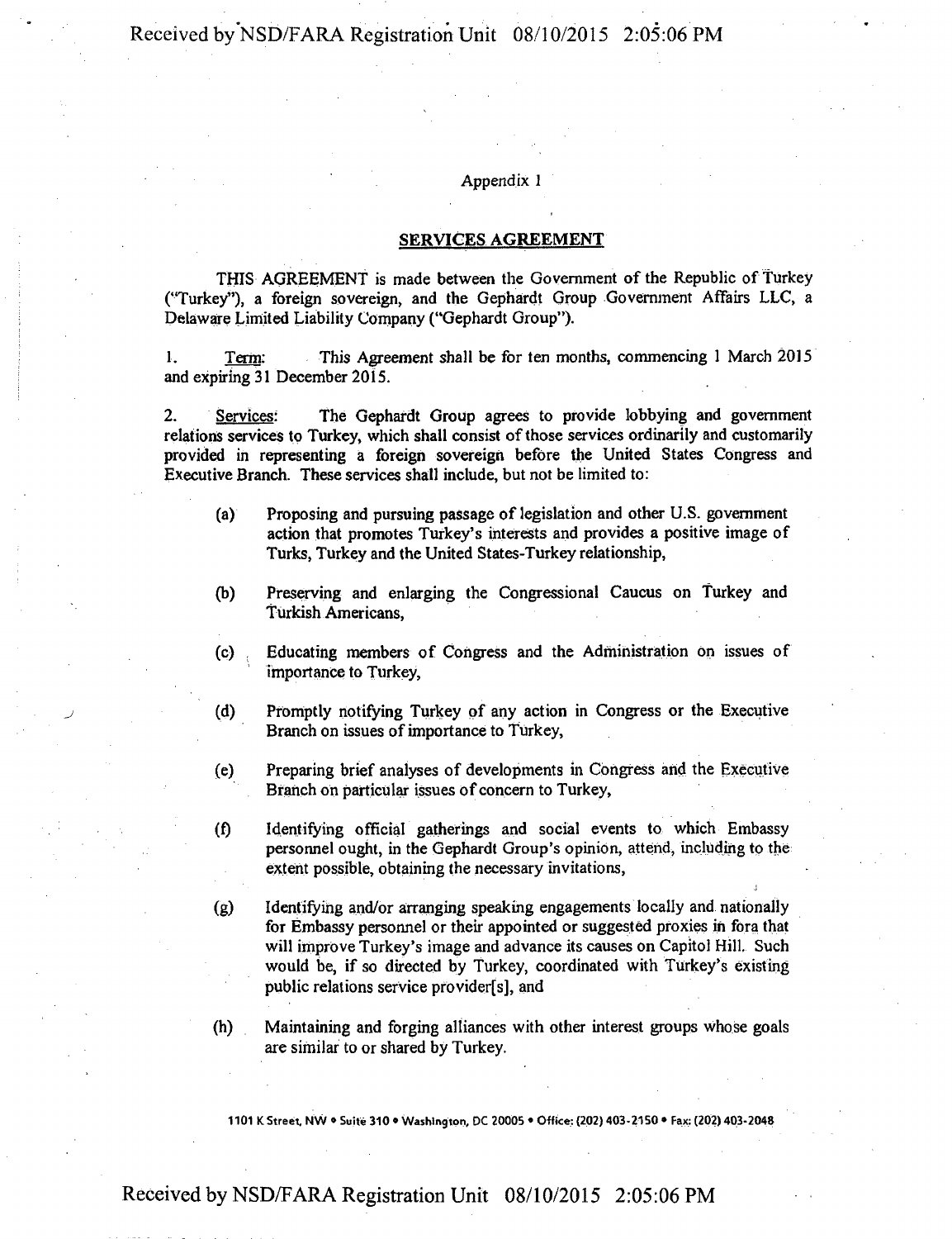Appendix 1

#### SERVICES AGREEMENT

THIS AGREEMENT is made between the Government of the Republic of Turkey ("Turkey"), a foreign sovereign, and the Gephardt Group Government Affairs LLC, a Delaware Limited Liability Company ("Gephardt Group").

Term: This Agreement shall be for ten months, commencing 1 March 2015  $1.$ and expiring 31 December 2015.

2. Services: The Gephardt Group agrees to provide lobbying and government relations services to Turkey, which shall consist of those services ordinarily and customarily provided in representing a foreign sovereign before the United States Congress and Executive Branch. These services shall include, but not be limited to:

- (a) Proposing and pursuing passage of legislation and other U.S. government action that promotes Turkey's interests and provides a positive image of Turks, Turkey and the United States-Turkey relationship,
- (b) Preserving and enlarging the Congressional Caucus on Turkey and Turkish Americans,
- (c) Educating members of Congress and the Administration on issues of importance to Turkey,
- (d) Promptly notifying Turkey of any action in Congress or the Executive Branch on issues of importance to Turkey,
- (e) Preparing brief analyses of developments in Congress and the Executive Branch on particular issues of concern to Turkey,
- (f) Identifying official gatherings and social events to which Embassy personnel ought, in the Gephardt Group's opinion, attend, including to the extent possible, obtaining the necessary invitations,

(g) Identifying and/or arranging speaking engagements locally and nationally for Embassy personnel or their appointed or suggested proxies in fora that will improve Turkey's image and advance its causes on Capitol Hill. Such would be, if so directed by Turkey, coordinated with Turkey's existing public relations service providerfs], and

(h) Maintaining and forging alliances with other interest groups whose goals are similar to or shared by Turkey.

1101 KStreet. NW • Suite 310 • Washington, DC 20005 • Office: (202) 403-2150 • Fax: (202) 403-2048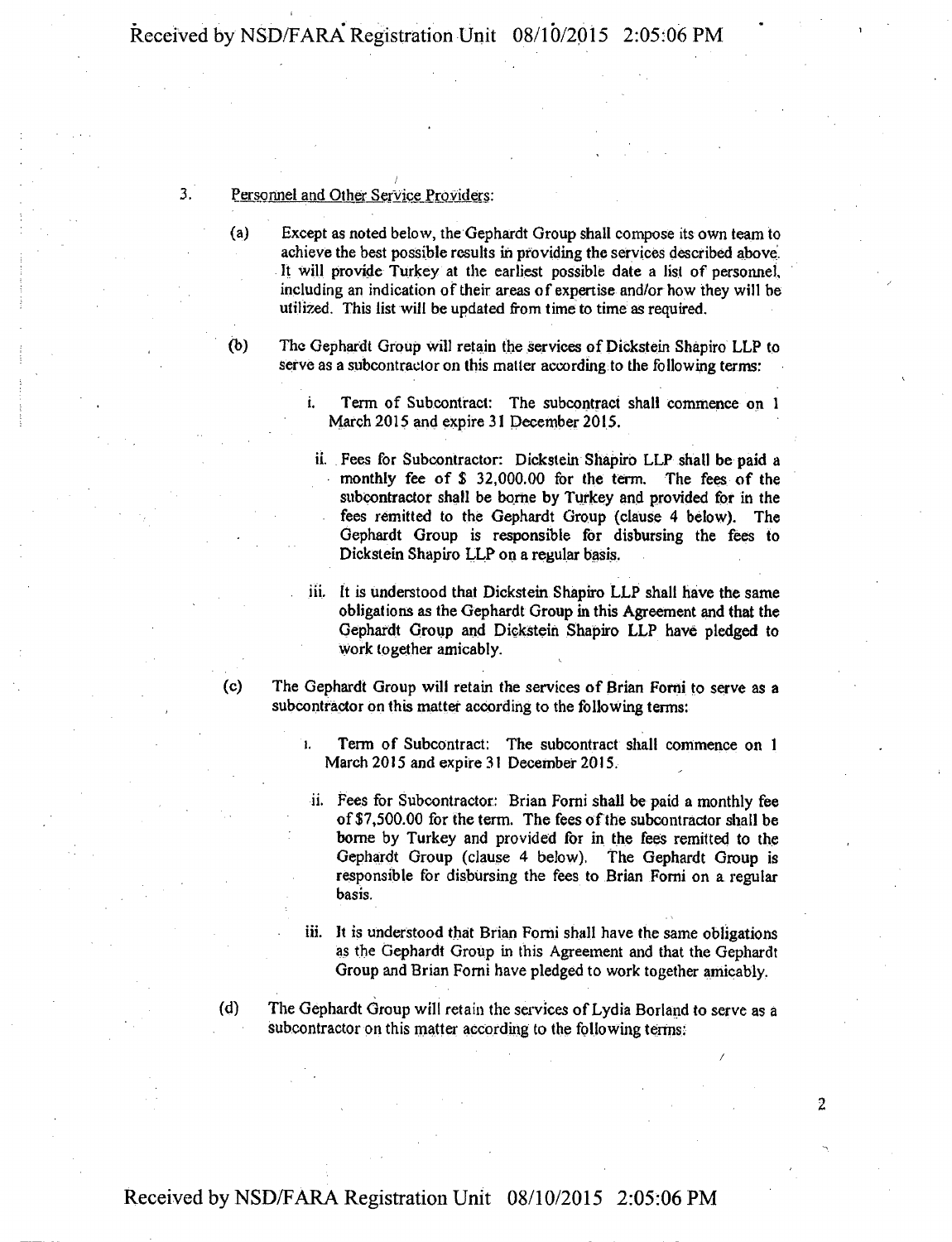## 3. Personnel and Other Service Providers:

- (a) Except as noted below, the Gephardt Group shall compose its own team to achieve the best possible results in providing the services described above. It will provide Turkey at the earliest possible date a list of personnel, including an indication of their areas of expertise and/or how they will be utilized. This list will be updated from time to time as required.
- 

(b) The Gephardt Group will retain the services of Dickstein Shapiro LLP to serve as a subcontractor on this matter according to the following terms:

- i. Term of Subcontract: The subcontract shall commence on 1 March 2015 and expire 31 December 2015.
- ii. Fees for Subcontractor: Dickstein Shapiro LLP shall be paid a monthly fee of \$ 32,000.00 for the term. The fees of the subcontractor shall be borne by Turkey and provided for in the fees remitted to the Gephardt Group (clause 4 below). The Gephardt Group is responsible for disbursing the fees to Dickstein Shapiro LLP on a regular basis.
- iii. It is understood that Dickstein Shapiro LLP shall have the same obligations as the Gephardt Group in this Agreement and that the Gephardt Group and Dickstein Shapiro LLP have pledged to work together amicably.
- (c) The Gephardt Group will retain the services of Brian Forni to serve as a subcontractor on this matter according to the following terms:
	- Term of Subcontract: The subcontract shall commence on 1 March 2015 and expire 31 December 2015.
	- ii. Fees for Subcontractor: Brian Forni shall be paid a monthly fee of \$7,500.00 for the term. The fees of the subcontractor shall be borne by Turkey and provided for in the fees remitted to the Gephardt Group (clause 4 below). The Gephardt Group is responsible for disbursing the fees to Brian Forni on a regular basis.
	- iii. It is understood that Brian Forni shall have the same obligations as the Gephardt Group in this Agreement and that the Gephardt Group and Brian Forni have pledged to work together amicably.

- 
- (d) The Gephardt Group will retain the services of Lydia Borland to serve as a subcontractor on this matter according to the following terms: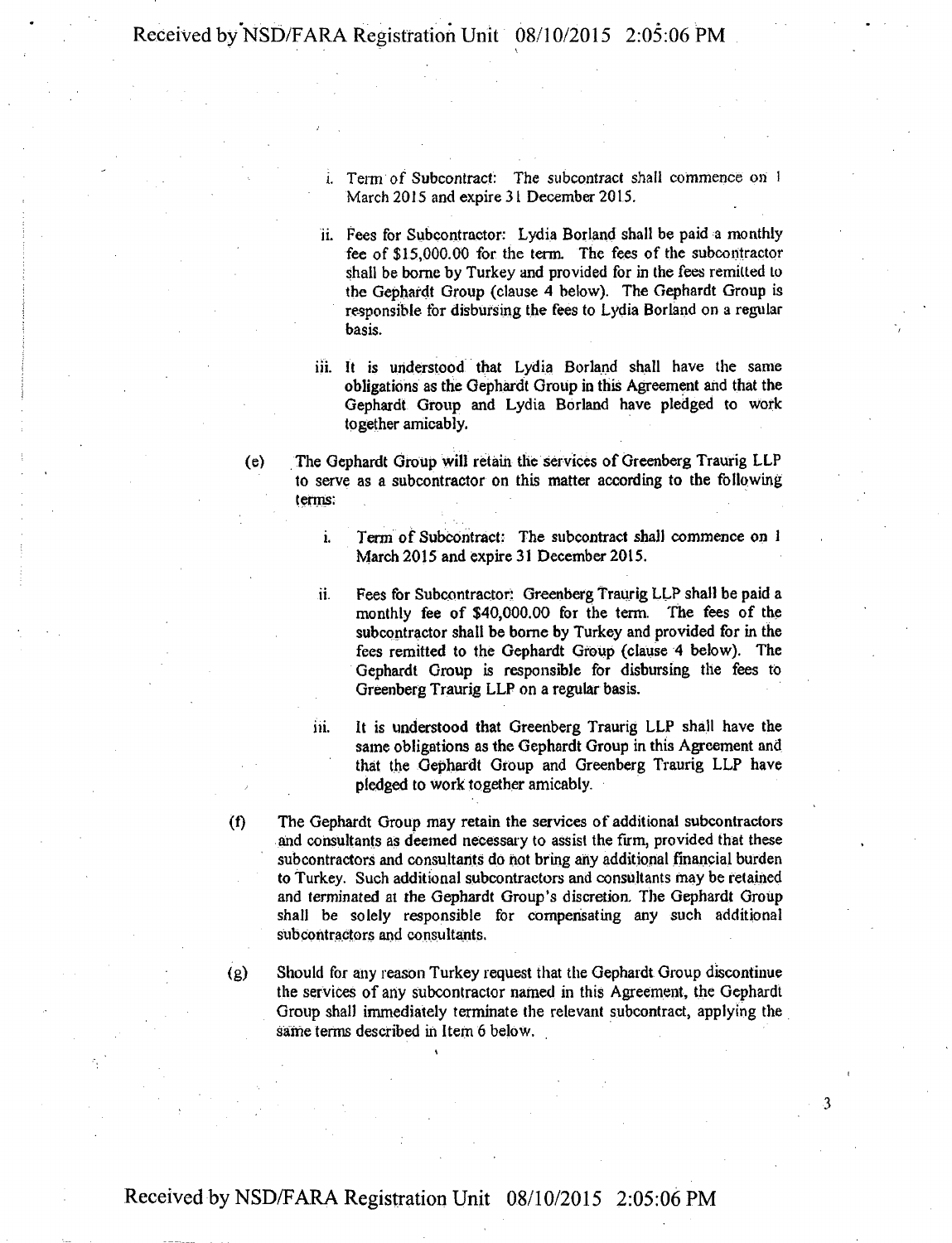i. Term of Subcontract: The subcontract shall commence on 1 March 2015 and expire 31 December 2015.

- ii. Fees for Subcontractor: Lydia Borland shall be paid a monthly fee of \$15,000.00 for the term. The fees of the subcontractor shall be borne by Turkey and provided for in the fees remitted to the Gephardt Group (clause 4 below). The Gephardt Group is responsible for disbursing the fees to Lydia Borland on a regular basis.
- iii. It is understood that Lydia Borland shall have the same obligations as the Gephardt Group in this Agreement and that the Gephardt Group and Lydia Borland have pledged to work together amicably.

(e) The Gephardt Group will retain the services of Greenberg Traurig LLP to serve as a subcontractor on this matter according to the following terms:

> i. Term of Subcontract: The subcontract shall commence on 1 March 2015 and expire 31 December 2015.

ii. Fees for Subcontractor: Greenberg Traurig LLP shall be paid a monthly fee of \$40,000.00 for the term. The fees of the subcontractor shall be bome by Turkey and provided for in the fees remitted to the Gephardt Group (clause 4 below). The Gephardt Group is responsible for disbursing the fees to Greenberg Traurig LLP on a regular basis.

iii. It is understood that Greenberg Traurig LLP shall have the same obligations as the Gephardt Group in this Agreement and that the Gephardt Group and Greenberg Traurig LLP have pledged to work together amicably.

(f) The Gephardt Group may retain the services of additional subcontractors and consultants as deemed necessary to assist the firm, provided that these subcontractors and consultants do not bring any additional financial burden to Turkey. Such additional subcontractors and consultants may be retained and terminated at the Gephardt Group's discretion. The Gephardt Group shall be solely responsible for compensating any such additional subcontractors and consultants.

(g) Should for any reason Turkey request that the Gephardt Group discontinue the services of any subcontractor named in this Agreement, the Gephardt Group shall immediately terminate the relevant subcontract, applying the same terms described in Item 6 below.

 $\boldsymbol{\mathcal{R}}$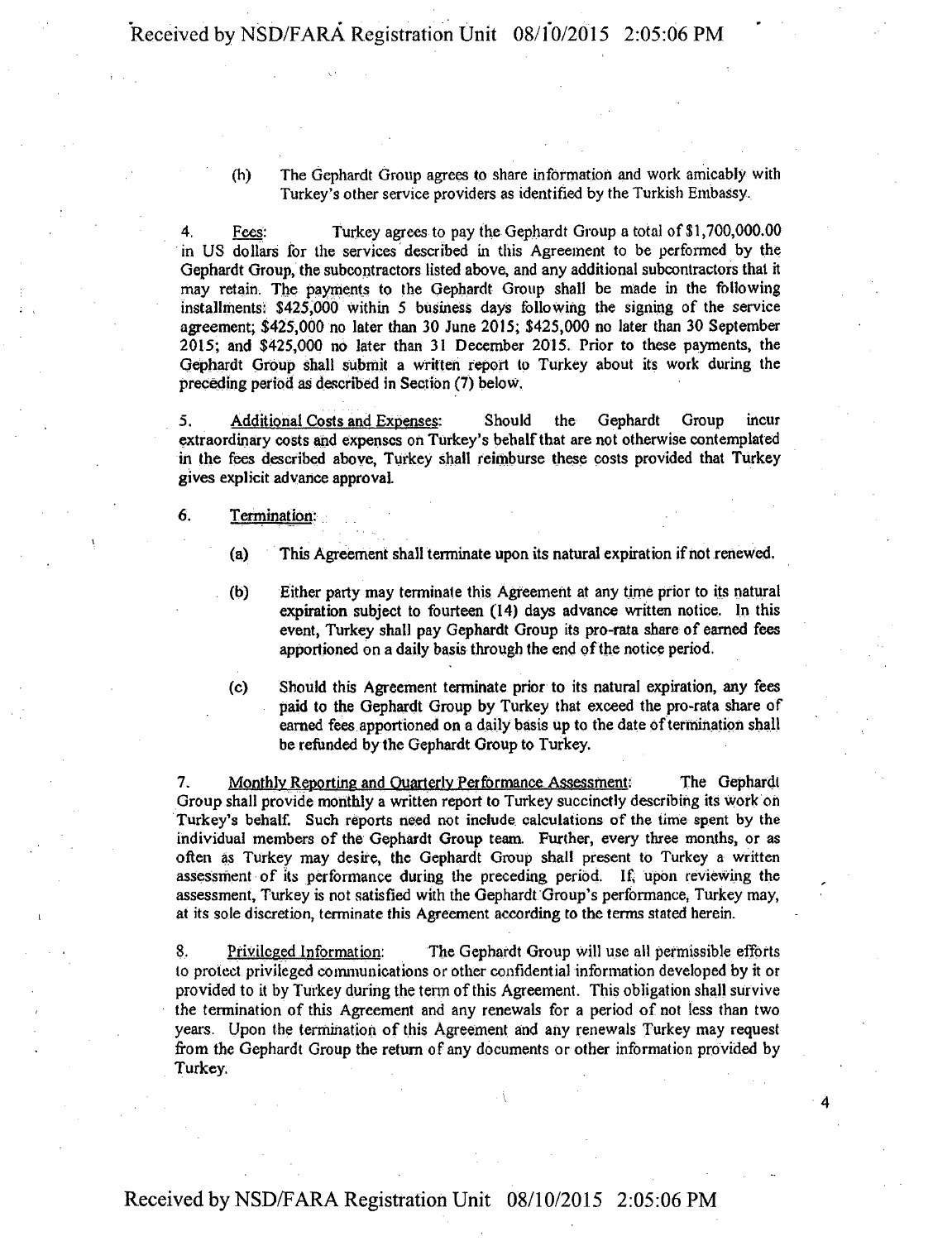(h) The Gephardt Group agrees to share information and work amicably with Turkey's other service providers as identified by the Turkish Embassy.

4. Fees: Turkey agrees to pay the Gephardt Group a total of \$1,700,000.00 in US dollars for the services described in this Agreement to be performed by the Gephardt Group, the subcontractors listed above, and any additional subcontractors that it may retain. The payments to the Gephardt Group shall be made in the following installments: \$425,000 within 5 business days following the signing of the service agreement; \$425,000 no later than 30 June 2015; \$425,000 no later than 30 September 2015; and \$425,000 no later than 31 December 2015. Prior to these payments, the Gephardt Group shall submit a written report to Turkey about its work during the preceding period as described in Section (7) below.

5. Additional Costs and Expenses: Should the Gephardt Group incur extraordinary costs and expenses on Turkey's behalf that are not otherwise contemplated in the fees described above, Turkey shall reimburse these costs provided that Turkey gives explicit advance approval.

- 6. Termination:
	- (a) This Agreement shall terminate upon its natural expiration if not renewed.
	- (b) Either party may terminate this Agreement at any time prior to its natural expiration subject to fourteen (14) days advance written notice. In this event, Turkey shall pay Gephardt Group its pro-rata share of earned fees apportioned on a daily basis through the end of the notice period.
	- (c) Should this Agreement terminate prior to its natural expiration, any fees paid to the Gephardt Group by Turkey that exceed the pro-rata share of earned fees apportioned on a daily basis up to the date of termination shall be refunded by the Gephardt Group to Turkey.

7. Monthly Reporting and Quarterly Performance Assessment: The Gephardt Group shall provide motithly a written report to Turkey succinctly describing its work on Turkey's behalf. Such reports need not include calculations of the time spent by the individual members of the Gephardt Group team. Further, every three months, or as often as Turkey may desire, the Gephardt Group shall present to Turkey a written assessment of its performance during the preceding period. If, upon reviewing the assessment, Turkey is not satisfied with the Gephardt Group's performance, Turkey may, at its sole discretion, terminate this Agreement according to the terms stated herein.

8. Privileged Information: The Gephardt Group will use all permissible efforts to protect privileged communications or other confidential information developed by it or provided to it by Turkey during the term of this Agreement. This obligation shall survive the termination of this Agreement and any renewals for a period of not less than two years. Upon the termination of this Agreement and any renewals Turkey may request from the Gephardt Group the return of any documents or other information provided by Turkey.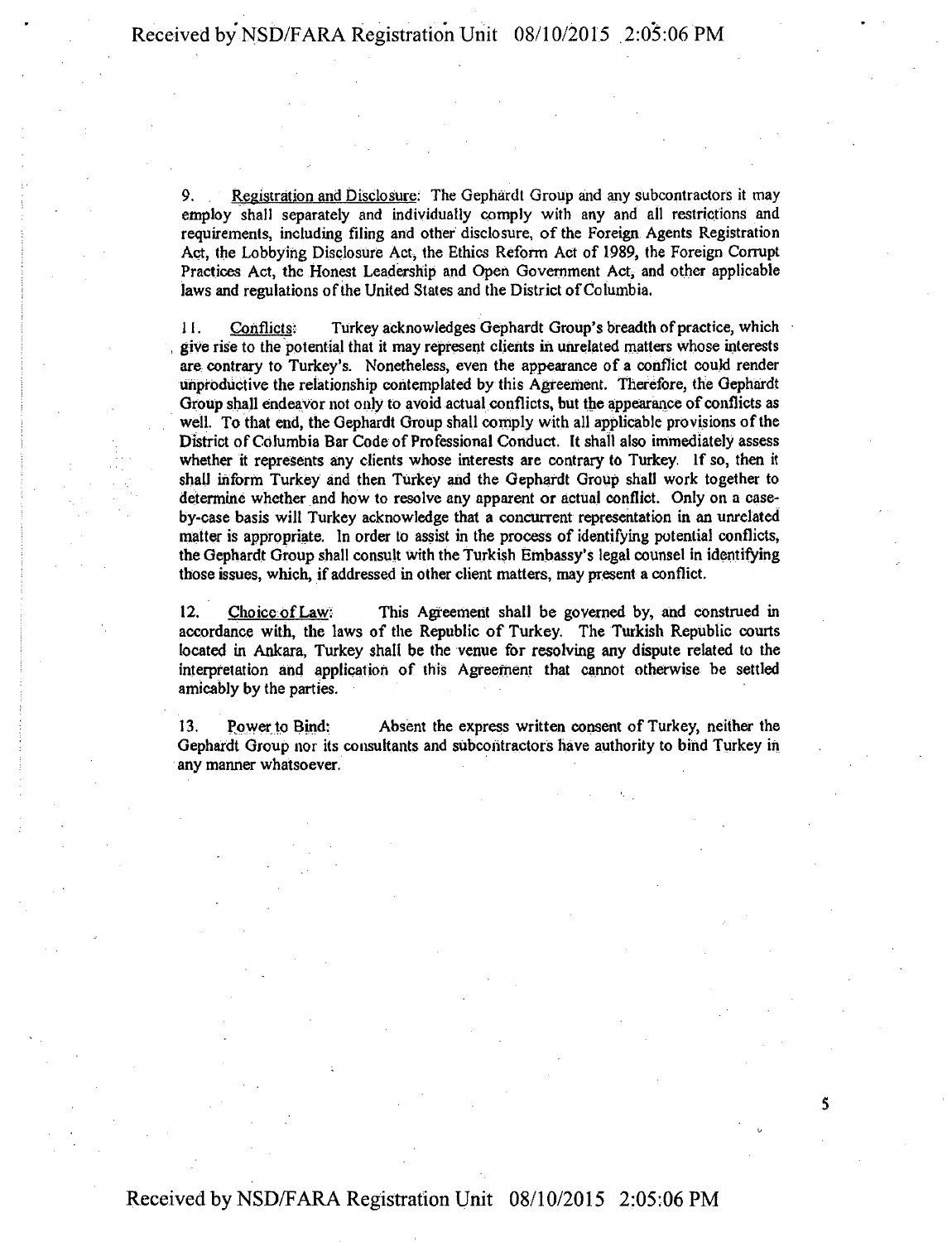9. Registration and Disclosure: The Gephardt Group and any subcontractors it may employ shall separately and individually comply with any and all restrictions and requirements, including filing and other disclosure, of the Foreign Agents Registration Act, the Lobbying Disclosure Act, the Ethics Reform Act of 1989, the Foreign Corrupt Practices Act, the Honest Leadership and Open Government Act, and other applicable laws and regulations of the United States and the District of Columbia.

11. Conflicts: Turkey acknowledges Gephardt Group's breadth of practice, which , give rise to the potential that it may represent clients in unrelated matters whose interests are contrary to Turkey's. Nonetheless, even the appearance of a conflict could render unproductive the relationship contemplated by this Agreement. Therefore, the Gephardt Group shall endeavor not only to avoid actual conflicts, but the appearance of conflicts as well. To that end, the Gephardt Group shall comply with all applicable provisions of the District of Columbia Bar Code of Professional Conduct. It shall also immediately assess whether it represents any clients whose interests are contrary to Turkey. If so, then it shall inform Turkey and then Turkey and the Gephardt Group shall work together to determine whether and how to resolve any apparent or actual conflict. Only on a caseby-case basis will Turkey acknowledge that a concurrent representation in an unrelated matter is appropriate. In order to assist in the process of identifying potential conflicts, the Gephardt Group shall consult with the Turkish Embassy's legal counsel in identifying those issues, which, if addressed in other client matters, may present a conflict.

12. Choice of Law: This Agreement shall be governed by, and construed in accordance with, the laws of the Republic of Turkey. The Turkish Republic courts located in Ankara, Turkey shall be the venue for resolving any dispute related to the interpretation and application of this Agreement that cannot otherwise be settled amicably by the parties.

13. Power to Bind: Absent the express written consent of Turkey, neither the Gephardt Group nor its consultants and subcontractors have authority to bind Turkey in any manner whatsoever.

K,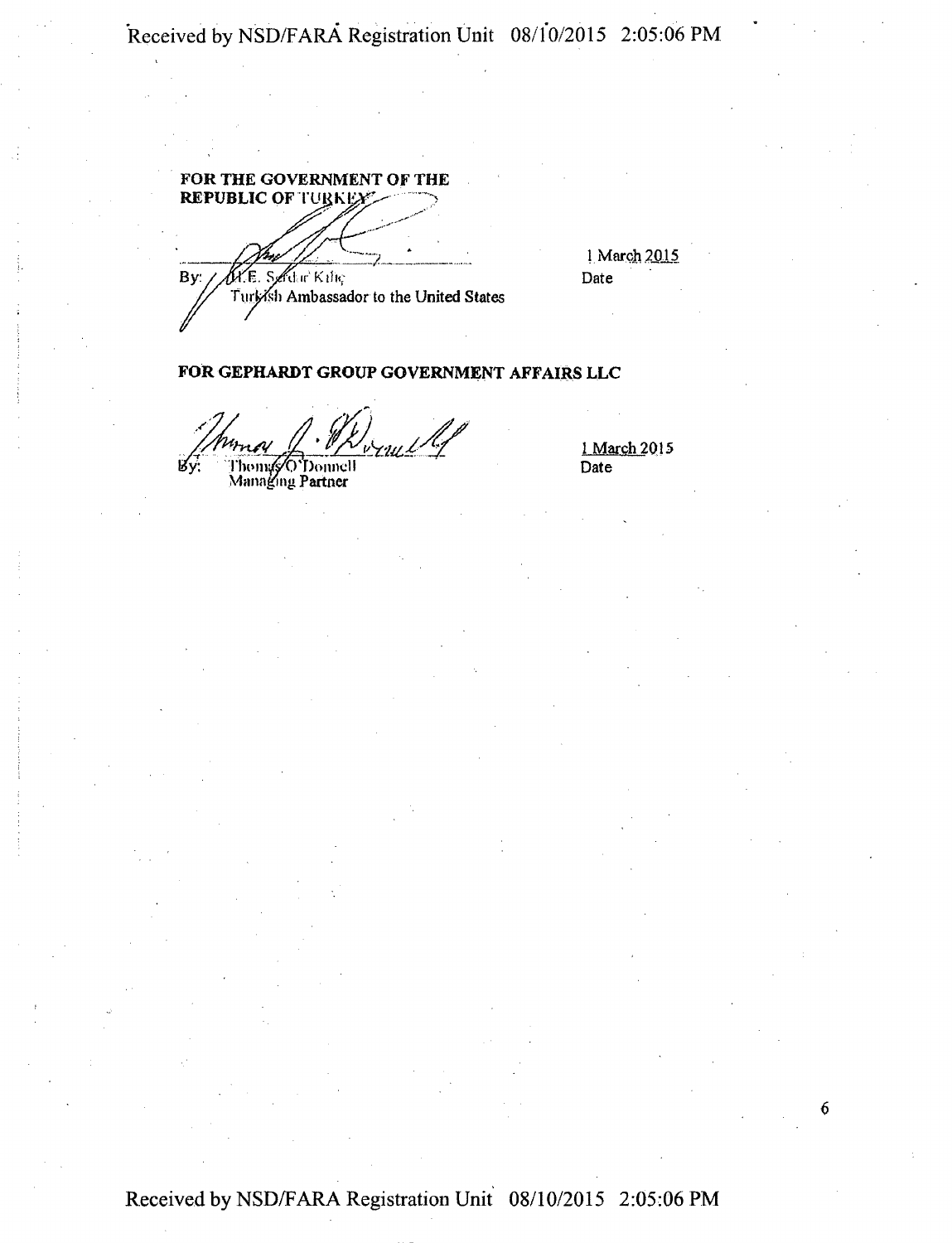Received by NSD/FARA Registration Unit 08/10/2015 2:05:06 PM

**FOR THE GOVERNMENT OF THE REPUBLIC OF TURKEY REPUBLIC OF By a—** %. S\*til ir Ktfi <sup>v</sup> Turkish Ambassador to the United States

1 March 2015 Date

### FOR GEPHARDT GROUP GOVERNMENT AFFAIRS LLC

Вy.

Thom#&O`Donnell<br>Managing <mark>Partner</mark>

1 March 2015 Date